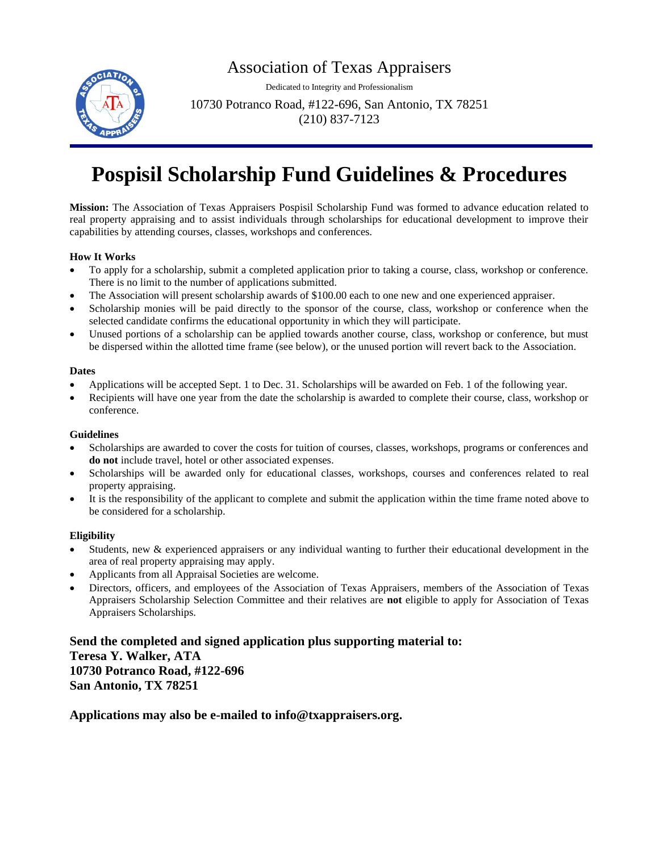## Association of Texas Appraisers



Dedicated to Integrity and Professionalism

10730 Potranco Road, #122-696, San Antonio, TX 78251 (210) 837-7123

# **Pospisil Scholarship Fund Guidelines & Procedures**

**Mission:** The Association of Texas Appraisers Pospisil Scholarship Fund was formed to advance education related to real property appraising and to assist individuals through scholarships for educational development to improve their capabilities by attending courses, classes, workshops and conferences.

#### **How It Works**

- To apply for a scholarship, submit a completed application prior to taking a course, class, workshop or conference. There is no limit to the number of applications submitted.
- The Association will present scholarship awards of \$100.00 each to one new and one experienced appraiser.
- Scholarship monies will be paid directly to the sponsor of the course, class, workshop or conference when the selected candidate confirms the educational opportunity in which they will participate.
- Unused portions of a scholarship can be applied towards another course, class, workshop or conference, but must be dispersed within the allotted time frame (see below), or the unused portion will revert back to the Association.

#### **Dates**

- Applications will be accepted Sept. 1 to Dec. 31. Scholarships will be awarded on Feb. 1 of the following year.
- Recipients will have one year from the date the scholarship is awarded to complete their course, class, workshop or conference.

#### **Guidelines**

- Scholarships are awarded to cover the costs for tuition of courses, classes, workshops, programs or conferences and **do not** include travel, hotel or other associated expenses.
- Scholarships will be awarded only for educational classes, workshops, courses and conferences related to real property appraising.
- It is the responsibility of the applicant to complete and submit the application within the time frame noted above to be considered for a scholarship.

#### **Eligibility**

- Students, new & experienced appraisers or any individual wanting to further their educational development in the area of real property appraising may apply.
- Applicants from all Appraisal Societies are welcome.
- Directors, officers, and employees of the Association of Texas Appraisers, members of the Association of Texas Appraisers Scholarship Selection Committee and their relatives are **not** eligible to apply for Association of Texas Appraisers Scholarships.

**Send the completed and signed application plus supporting material to: Teresa Y. Walker, ATA 10730 Potranco Road, #122-696 San Antonio, TX 78251**

**Applications may also be e-mailed to info@txappraisers.org.**